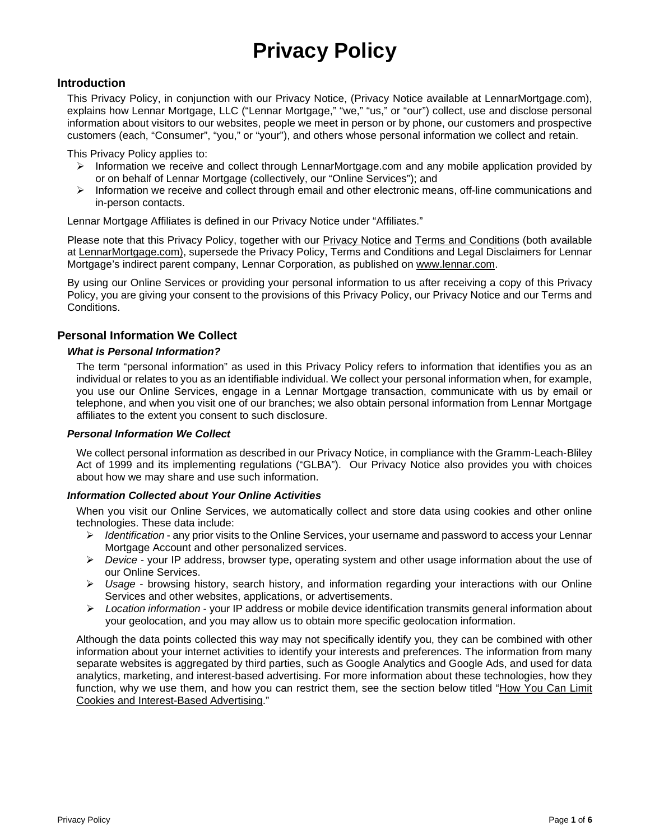# **Privacy Policy**

## **Introduction**

This Privacy Policy, in conjunction with our Privacy Notice, (Privacy Notice available at LennarMortgage.com), explains how Lennar Mortgage, LLC ("Lennar Mortgage," "we," "us," or "our") collect, use and disclose personal information about visitors to our websites, people we meet in person or by phone, our customers and prospective customers (each, "Consumer", "you," or "your"), and others whose personal information we collect and retain.

This Privacy Policy applies to:

- $\triangleright$  Information we receive and collect through LennarMortgage.com and any mobile application provided by or on behalf of Lennar Mortgage (collectively, our "Online Services"); and
- $\triangleright$  Information we receive and collect through email and other electronic means, off-line communications and in-person contacts.

Lennar Mortgage Affiliates is defined in our Privacy Notice under "Affiliates."

Please note that this Privacy Policy, together with our Privacy Notice and Terms and Conditions (both available at LennarMortgage.com), supersede the Privacy Policy, Terms and Conditions and Legal Disclaimers for Lennar Mortgage's indirect parent company, Lennar Corporation, as published on [www.lennar.com.](http://www.lennar.com/)

By using our Online Services or providing your personal information to us after receiving a copy of this Privacy Policy, you are giving your consent to the provisions of this Privacy Policy, our Privacy Notice and our Terms and Conditions.

## **Personal Information We Collect**

#### *What is Personal Information?*

The term "personal information" as used in this Privacy Policy refers to information that identifies you as an individual or relates to you as an identifiable individual. We collect your personal information when, for example, you use our Online Services, engage in a Lennar Mortgage transaction, communicate with us by email or telephone, and when you visit one of our branches; we also obtain personal information from Lennar Mortgage affiliates to the extent you consent to such disclosure.

#### *Personal Information We Collect*

We collect personal information as described in our Privacy Notice, in compliance with the Gramm-Leach-Bliley Act of 1999 and its implementing regulations ("GLBA"). Our Privacy Notice also provides you with choices about how we may share and use such information.

## *Information Collected about Your Online Activities*

When you visit our Online Services, we automatically collect and store data using cookies and other online technologies. These data include:

- *Identification* any prior visits to the Online Services, your username and password to access your Lennar Mortgage Account and other personalized services.
- *Device* your IP address, browser type, operating system and other usage information about the use of our Online Services.
- *Usage* browsing history, search history, and information regarding your interactions with our Online Services and other websites, applications, or advertisements.
- *Location information* your IP address or mobile device identification transmits general information about your geolocation, and you may allow us to obtain more specific geolocation information.

Although the data points collected this way may not specifically identify you, they can be combined with other information about your internet activities to identify your interests and preferences. The information from many separate websites is aggregated by third parties, such as Google Analytics and Google Ads, and used for data analytics, marketing, and interest-based advertising. For more information about these technologies, how they function, why we use them, and how you can restrict them, see the section below titled ["How You Can Limit](#page-1-0)  [Cookies and Interest-Based Advertising.](#page-1-0)"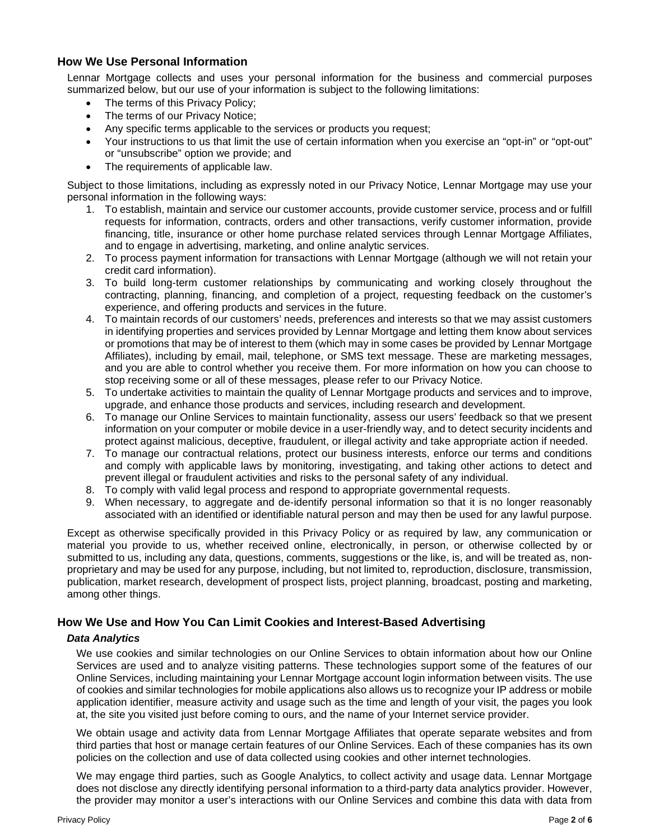## **How We Use Personal Information**

Lennar Mortgage collects and uses your personal information for the business and commercial purposes summarized below, but our use of your information is subject to the following limitations:

- The terms of this Privacy Policy;
- The terms of our Privacy Notice;
- Any specific terms applicable to the services or products you request;
- Your instructions to us that limit the use of certain information when you exercise an "opt-in" or "opt-out" or "unsubscribe" option we provide; and
- The requirements of applicable law.

Subject to those limitations, including as expressly noted in our Privacy Notice, Lennar Mortgage may use your personal information in the following ways:

- 1. To establish, maintain and service our customer accounts, provide customer service, process and or fulfill requests for information, contracts, orders and other transactions, verify customer information, provide financing, title, insurance or other home purchase related services through Lennar Mortgage Affiliates, and to engage in advertising, marketing, and online analytic services.
- 2. To process payment information for transactions with Lennar Mortgage (although we will not retain your credit card information).
- 3. To build long-term customer relationships by communicating and working closely throughout the contracting, planning, financing, and completion of a project, requesting feedback on the customer's experience, and offering products and services in the future.
- 4. To maintain records of our customers' needs, preferences and interests so that we may assist customers in identifying properties and services provided by Lennar Mortgage and letting them know about services or promotions that may be of interest to them (which may in some cases be provided by Lennar Mortgage Affiliates), including by email, mail, telephone, or SMS text message. These are marketing messages, and you are able to control whether you receive them. For more information on how you can choose to stop receiving some or all of these messages, please refer to our Privacy Notice.
- 5. To undertake activities to maintain the quality of Lennar Mortgage products and services and to improve, upgrade, and enhance those products and services, including research and development.
- 6. To manage our Online Services to maintain functionality, assess our users' feedback so that we present information on your computer or mobile device in a user-friendly way, and to detect security incidents and protect against malicious, deceptive, fraudulent, or illegal activity and take appropriate action if needed.
- 7. To manage our contractual relations, protect our business interests, enforce our terms and conditions and comply with applicable laws by monitoring, investigating, and taking other actions to detect and prevent illegal or fraudulent activities and risks to the personal safety of any individual.
- 8. To comply with valid legal process and respond to appropriate governmental requests.
- 9. When necessary, to aggregate and de-identify personal information so that it is no longer reasonably associated with an identified or identifiable natural person and may then be used for any lawful purpose.

Except as otherwise specifically provided in this Privacy Policy or as required by law, any communication or material you provide to us, whether received online, electronically, in person, or otherwise collected by or submitted to us, including any data, questions, comments, suggestions or the like, is, and will be treated as, nonproprietary and may be used for any purpose, including, but not limited to, reproduction, disclosure, transmission, publication, market research, development of prospect lists, project planning, broadcast, posting and marketing, among other things.

## <span id="page-1-0"></span>**How We Use and How You Can Limit Cookies and Interest-Based Advertising**

## *Data Analytics*

We use cookies and similar technologies on our Online Services to obtain information about how our Online Services are used and to analyze visiting patterns. These technologies support some of the features of our Online Services, including maintaining your Lennar Mortgage account login information between visits. The use of cookies and similar technologies for mobile applications also allows us to recognize your IP address or mobile application identifier, measure activity and usage such as the time and length of your visit, the pages you look at, the site you visited just before coming to ours, and the name of your Internet service provider.

We obtain usage and activity data from Lennar Mortgage Affiliates that operate separate websites and from third parties that host or manage certain features of our Online Services. Each of these companies has its own policies on the collection and use of data collected using cookies and other internet technologies.

We may engage third parties, such as Google Analytics, to collect activity and usage data. Lennar Mortgage does not disclose any directly identifying personal information to a third-party data analytics provider. However, the provider may monitor a user's interactions with our Online Services and combine this data with data from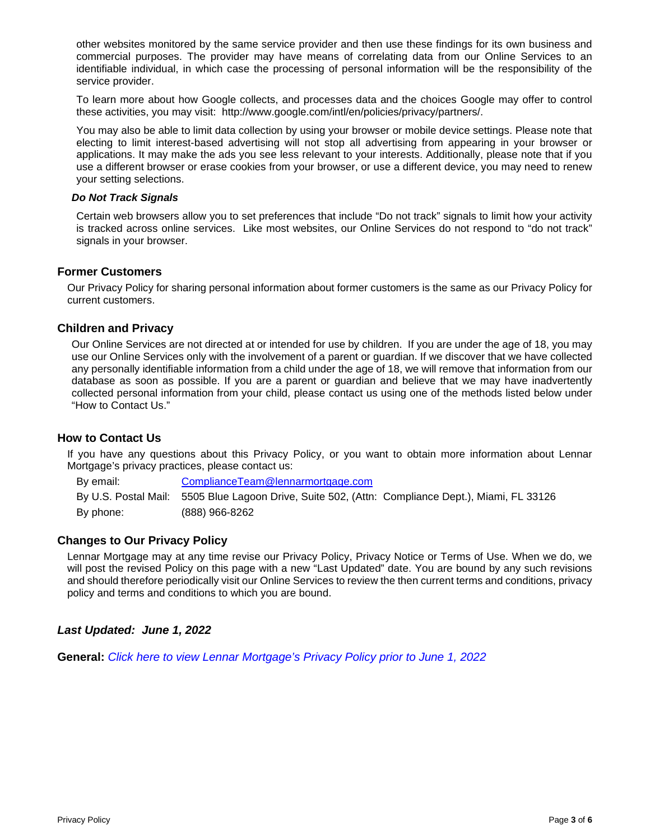other websites monitored by the same service provider and then use these findings for its own business and commercial purposes. The provider may have means of correlating data from our Online Services to an identifiable individual, in which case the processing of personal information will be the responsibility of the service provider.

To learn more about how Google collects, and processes data and the choices Google may offer to control these activities, you may visit: http://www.google.com/intl/en/policies/privacy/partners/.

You may also be able to limit data collection by using your browser or mobile device settings. Please note that electing to limit interest-based advertising will not stop all advertising from appearing in your browser or applications. It may make the ads you see less relevant to your interests. Additionally, please note that if you use a different browser or erase cookies from your browser, or use a different device, you may need to renew your setting selections.

#### *Do Not Track Signals*

Certain web browsers allow you to set preferences that include "Do not track" signals to limit how your activity is tracked across online services. Like most websites, our Online Services do not respond to "do not track" signals in your browser.

## **Former Customers**

Our Privacy Policy for sharing personal information about former customers is the same as our Privacy Policy for current customers.

## **Children and Privacy**

Our Online Services are not directed at or intended for use by children. If you are under the age of 18, you may use our Online Services only with the involvement of a parent or guardian. If we discover that we have collected any personally identifiable information from a child under the age of 18, we will remove that information from our database as soon as possible. If you are a parent or guardian and believe that we may have inadvertently collected personal information from your child, please contact us using one of the methods listed below under "How to Contact Us."

## **How to Contact Us**

If you have any questions about this Privacy Policy, or you want to obtain more information about Lennar Mortgage's privacy practices, please contact us:

By email: [ComplianceTeam@lennarmortgage.com](mailto:ComplianceTeam@lennarmortgage.com) By U.S. Postal Mail: 5505 Blue Lagoon Drive, Suite 502, (Attn: Compliance Dept.), Miami, FL 33126 By phone: (888) 966-8262

## **Changes to Our Privacy Policy**

Lennar Mortgage may at any time revise our Privacy Policy, Privacy Notice or Terms of Use. When we do, we will post the revised Policy on this page with a new "Last Updated" date. You are bound by any such revisions and should therefore periodically visit our Online Services to review the then current terms and conditions, privacy policy and terms and conditions to which you are bound.

## *Last Updated: June 1, 2022*

**General:** *[Click here to view Lennar Mortgage's Privacy Policy](https://pedatadnn.blob.core.windows.net/compliance/privacy%20policy/20220131%20Lennar%20Mortgage%20Website%20Privacy%20Policy%20-%20Final.pdf) prior to June 1, 2022*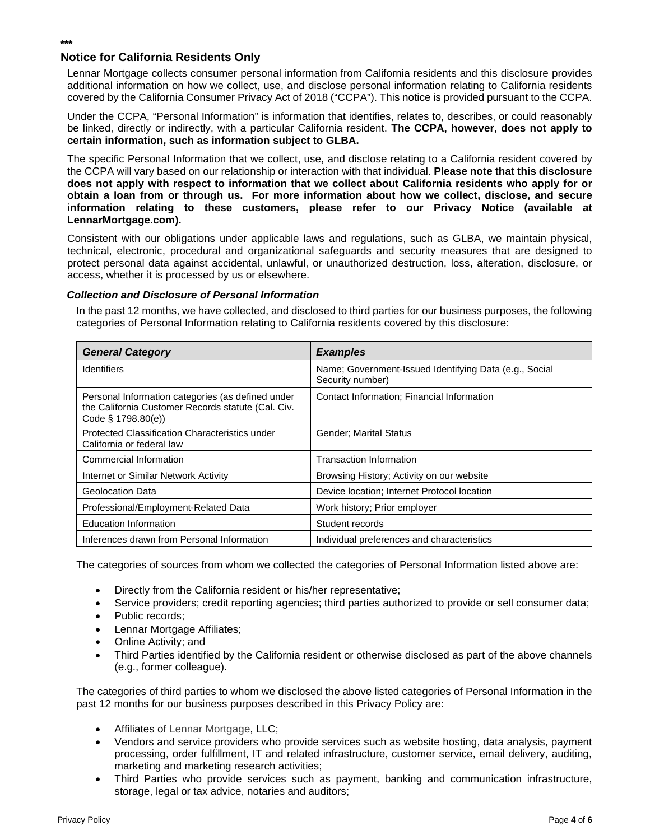## **Notice for California Residents Only**

**\*\*\***

Lennar Mortgage collects consumer personal information from California residents and this disclosure provides additional information on how we collect, use, and disclose personal information relating to California residents covered by the California Consumer Privacy Act of 2018 ("CCPA"). This notice is provided pursuant to the CCPA.

Under the CCPA, "Personal Information" is information that identifies, relates to, describes, or could reasonably be linked, directly or indirectly, with a particular California resident. **The CCPA, however, does not apply to certain information, such as information subject to GLBA.**

The specific Personal Information that we collect, use, and disclose relating to a California resident covered by the CCPA will vary based on our relationship or interaction with that individual. **Please note that this disclosure does not apply with respect to information that we collect about California residents who apply for or obtain a loan from or through us. For more information about how we collect, disclose, and secure information relating to these customers, please refer to our Privacy Notice (available at LennarMortgage.com).**

Consistent with our obligations under applicable laws and regulations, such as GLBA, we maintain physical, technical, electronic, procedural and organizational safeguards and security measures that are designed to protect personal data against accidental, unlawful, or unauthorized destruction, loss, alteration, disclosure, or access, whether it is processed by us or elsewhere.

## *Collection and Disclosure of Personal Information*

In the past 12 months, we have collected, and disclosed to third parties for our business purposes, the following categories of Personal Information relating to California residents covered by this disclosure:

| <b>General Category</b>                                                                                                       | <b>Examples</b>                                                            |
|-------------------------------------------------------------------------------------------------------------------------------|----------------------------------------------------------------------------|
| <b>Identifiers</b>                                                                                                            | Name; Government-Issued Identifying Data (e.g., Social<br>Security number) |
| Personal Information categories (as defined under<br>the California Customer Records statute (Cal. Civ.<br>Code § 1798.80(e)) | Contact Information: Financial Information                                 |
| Protected Classification Characteristics under<br>California or federal law                                                   | Gender; Marital Status                                                     |
| Commercial Information                                                                                                        | Transaction Information                                                    |
| Internet or Similar Network Activity                                                                                          | Browsing History; Activity on our website                                  |
| Geolocation Data                                                                                                              | Device location; Internet Protocol location                                |
| Professional/Employment-Related Data                                                                                          | Work history; Prior employer                                               |
| <b>Education Information</b>                                                                                                  | Student records                                                            |
| Inferences drawn from Personal Information                                                                                    | Individual preferences and characteristics                                 |

The categories of sources from whom we collected the categories of Personal Information listed above are:

- Directly from the California resident or his/her representative;
- Service providers; credit reporting agencies; third parties authorized to provide or sell consumer data;
- Public records:
- Lennar Mortgage Affiliates;
- Online Activity; and
- Third Parties identified by the California resident or otherwise disclosed as part of the above channels (e.g., former colleague).

The categories of third parties to whom we disclosed the above listed categories of Personal Information in the past 12 months for our business purposes described in this Privacy Policy are:

- Affiliates of Lennar Mortgage, LLC;
- Vendors and service providers who provide services such as website hosting, data analysis, payment processing, order fulfillment, IT and related infrastructure, customer service, email delivery, auditing, marketing and marketing research activities;
- Third Parties who provide services such as payment, banking and communication infrastructure, storage, legal or tax advice, notaries and auditors;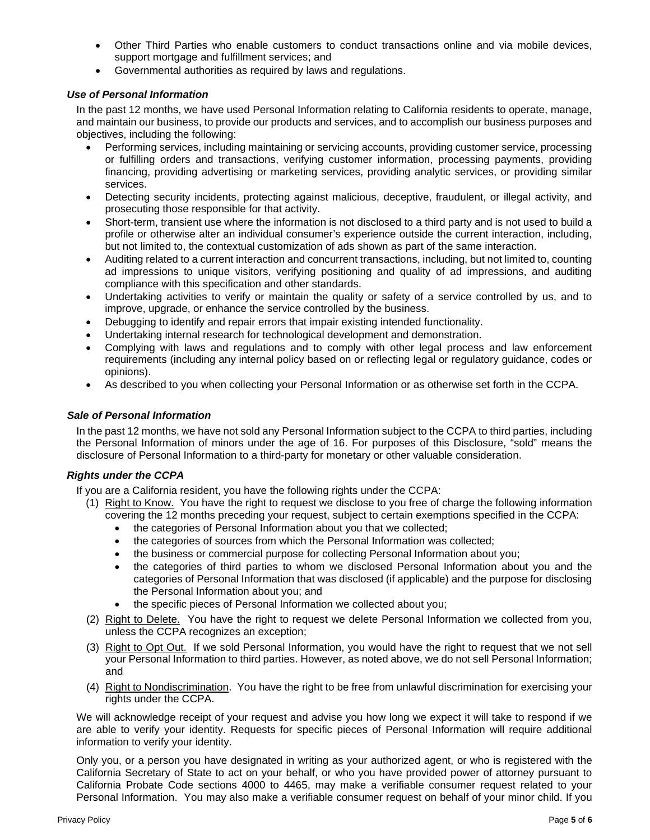- Other Third Parties who enable customers to conduct transactions online and via mobile devices, support mortgage and fulfillment services; and
- Governmental authorities as required by laws and regulations.

## *Use of Personal Information*

In the past 12 months, we have used Personal Information relating to California residents to operate, manage, and maintain our business, to provide our products and services, and to accomplish our business purposes and objectives, including the following:

- Performing services, including maintaining or servicing accounts, providing customer service, processing or fulfilling orders and transactions, verifying customer information, processing payments, providing financing, providing advertising or marketing services, providing analytic services, or providing similar services.
- Detecting security incidents, protecting against malicious, deceptive, fraudulent, or illegal activity, and prosecuting those responsible for that activity.
- Short-term, transient use where the information is not disclosed to a third party and is not used to build a profile or otherwise alter an individual consumer's experience outside the current interaction, including, but not limited to, the contextual customization of ads shown as part of the same interaction.
- Auditing related to a current interaction and concurrent transactions, including, but not limited to, counting ad impressions to unique visitors, verifying positioning and quality of ad impressions, and auditing compliance with this specification and other standards.
- Undertaking activities to verify or maintain the quality or safety of a service controlled by us, and to improve, upgrade, or enhance the service controlled by the business.
- Debugging to identify and repair errors that impair existing intended functionality.
- Undertaking internal research for technological development and demonstration.
- Complying with laws and regulations and to comply with other legal process and law enforcement requirements (including any internal policy based on or reflecting legal or regulatory guidance, codes or opinions).
- As described to you when collecting your Personal Information or as otherwise set forth in the CCPA.

## *Sale of Personal Information*

In the past 12 months, we have not sold any Personal Information subject to the CCPA to third parties, including the Personal Information of minors under the age of 16. For purposes of this Disclosure, "sold" means the disclosure of Personal Information to a third-party for monetary or other valuable consideration.

## *Rights under the CCPA*

- If you are a California resident, you have the following rights under the CCPA:
	- (1) Right to Know. You have the right to request we disclose to you free of charge the following information covering the 12 months preceding your request, subject to certain exemptions specified in the CCPA:
		- the categories of Personal Information about you that we collected;
		- the categories of sources from which the Personal Information was collected;
		- the business or commercial purpose for collecting Personal Information about you;
		- the categories of third parties to whom we disclosed Personal Information about you and the categories of Personal Information that was disclosed (if applicable) and the purpose for disclosing the Personal Information about you; and
		- the specific pieces of Personal Information we collected about you;
	- (2) Right to Delete. You have the right to request we delete Personal Information we collected from you, unless the CCPA recognizes an exception;
	- (3) Right to Opt Out. If we sold Personal Information, you would have the right to request that we not sell your Personal Information to third parties. However, as noted above, we do not sell Personal Information; and
	- (4) Right to Nondiscrimination. You have the right to be free from unlawful discrimination for exercising your rights under the CCPA.

We will acknowledge receipt of your request and advise you how long we expect it will take to respond if we are able to verify your identity. Requests for specific pieces of Personal Information will require additional information to verify your identity.

Only you, or a person you have designated in writing as your authorized agent, or who is registered with the California Secretary of State to act on your behalf, or who you have provided power of attorney pursuant to California Probate Code sections 4000 to 4465, may make a verifiable consumer request related to your Personal Information. You may also make a verifiable consumer request on behalf of your minor child. If you